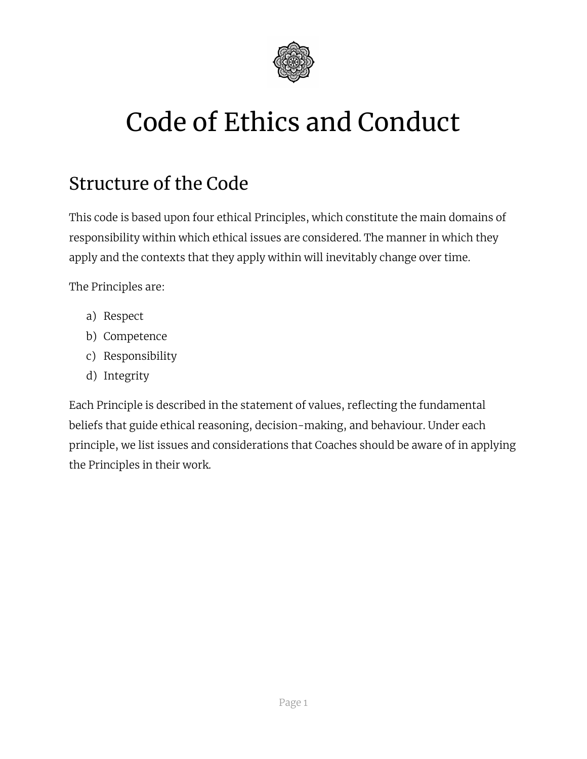

# Code of Ethics and Conduct

# Structure of the Code

This code is based upon four ethical Principles, which constitute the main domains of responsibility within which ethical issues are considered. The manner in which they apply and the contexts that they apply within will inevitably change over time.

The Principles are:

- a) Respect
- b) Competence
- c) Responsibility
- d) Integrity

Each Principle is described in the statement of values, reflecting the fundamental beliefs that guide ethical reasoning, decision-making, and behaviour. Under each principle, we list issues and considerations that Coaches should be aware of in applying the Principles in their work.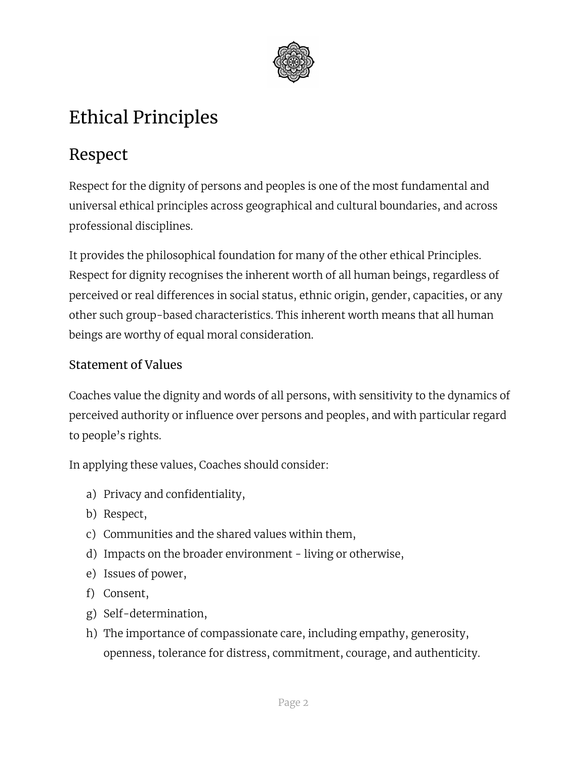

# Ethical Principles

## Respect

Respect for the dignity of persons and peoples is one of the most fundamental and universal ethical principles across geographical and cultural boundaries, and across professional disciplines.

It provides the philosophical foundation for many of the other ethical Principles. Respect for dignity recognises the inherent worth of all human beings, regardless of perceived or real differences in social status, ethnic origin, gender, capacities, or any other such group-based characteristics. This inherent worth means that all human beings are worthy of equal moral consideration.

#### Statement of Values

Coaches value the dignity and words of all persons, with sensitivity to the dynamics of perceived authority or influence over persons and peoples, and with particular regard to people's rights.

In applying these values, Coaches should consider:

- a) Privacy and confidentiality,
- b) Respect,
- c) Communities and the shared values within them,
- d) Impacts on the broader environment living or otherwise,
- e) Issues of power,
- f) Consent,
- g) Self-determination,
- h) The importance of compassionate care, including empathy, generosity, openness, tolerance for distress, commitment, courage, and authenticity.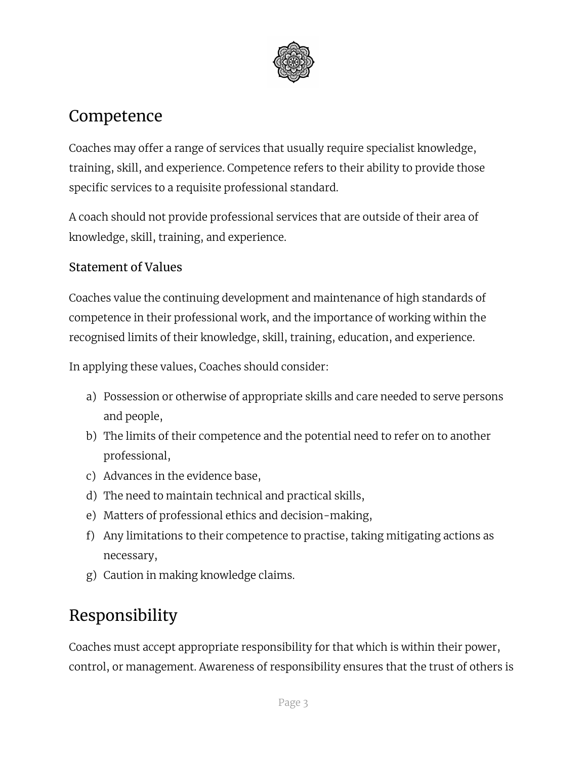

### Competence

Coaches may offer a range of services that usually require specialist knowledge, training, skill, and experience. Competence refers to their ability to provide those specific services to a requisite professional standard.

A coach should not provide professional services that are outside of their area of knowledge, skill, training, and experience.

#### Statement of Values

Coaches value the continuing development and maintenance of high standards of competence in their professional work, and the importance of working within the recognised limits of their knowledge, skill, training, education, and experience.

In applying these values, Coaches should consider:

- a) Possession or otherwise of appropriate skills and care needed to serve persons and people,
- b) The limits of their competence and the potential need to refer on to another professional,
- c) Advances in the evidence base,
- d) The need to maintain technical and practical skills,
- e) Matters of professional ethics and decision-making,
- f) Any limitations to their competence to practise, taking mitigating actions as necessary,
- g) Caution in making knowledge claims.

# Responsibility

Coaches must accept appropriate responsibility for that which is within their power, control, or management. Awareness of responsibility ensures that the trust of others is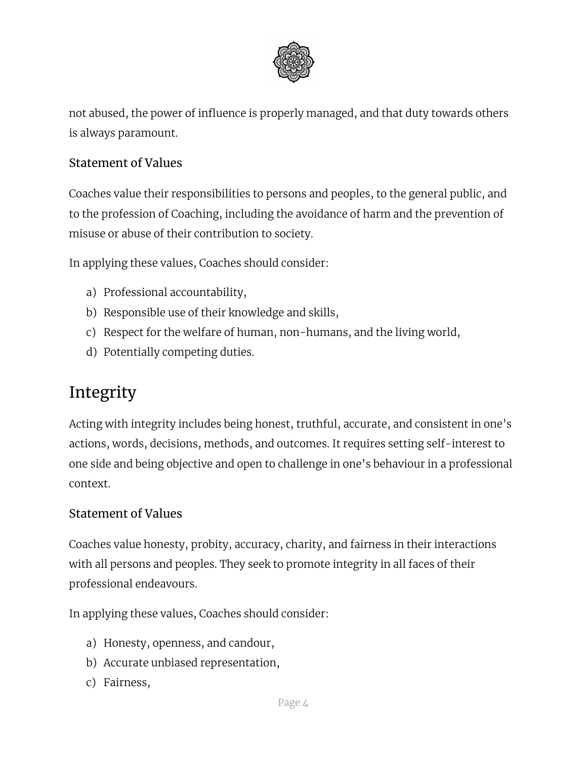

not abused, the power of influence is properly managed, and that duty towards others is always paramount.

#### Statement of Values

Coaches value their responsibilities to persons and peoples, to the general public, and to the profession of Coaching, including the avoidance of harm and the prevention of misuse or abuse of their contribution to society.

In applying these values, Coaches should consider:

- a) Professional accountability,
- b) Responsible use of their knowledge and skills,
- c) Respect for the welfare of human, non-humans, and the living world,
- d) Potentially competing duties.

### Integrity

Acting with integrity includes being honest, truthful, accurate, and consistent in one's actions, words, decisions, methods, and outcomes. It requires setting self-interest to one side and being objective and open to challenge in one's behaviour in a professional context.

#### Statement of Values

Coaches value honesty, probity, accuracy, charity, and fairness in their interactions with all persons and peoples. They seek to promote integrity in all faces of their professional endeavours.

In applying these values, Coaches should consider:

- a) Honesty, openness, and candour,
- b) Accurate unbiased representation,
- c) Fairness,